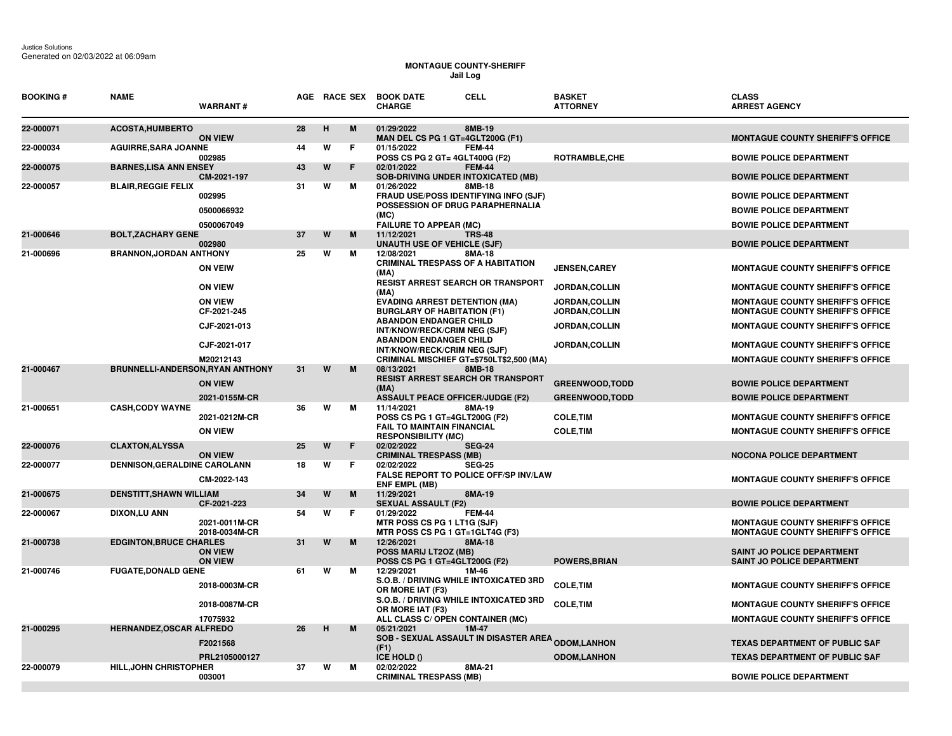Justice Solutions Generated on 02/03/2022 at 06:09am

## **MONTAGUE COUNTY-SHERIFF Jail Log**

| <b>BOOKING#</b> | <b>NAME</b>                      | <b>WARRANT#</b>                  |    |   | AGE RACE SEX | <b>CELL</b><br><b>BOOK DATE</b><br><b>CHARGE</b>                                  | <b>BASKET</b><br><b>ATTORNEY</b>               | <b>CLASS</b><br><b>ARREST AGENCY</b>                                               |
|-----------------|----------------------------------|----------------------------------|----|---|--------------|-----------------------------------------------------------------------------------|------------------------------------------------|------------------------------------------------------------------------------------|
| 22-000071       | <b>ACOSTA, HUMBERTO</b>          | <b>ON VIEW</b>                   | 28 | н | M            | 01/29/2022<br>8MB-19<br>MAN DEL CS PG 1 GT=4GLT200G (F1)                          |                                                | <b>MONTAGUE COUNTY SHERIFF'S OFFICE</b>                                            |
| 22-000034       | <b>AGUIRRE, SARA JOANNE</b>      | 002985                           | 44 | W | Е            | 01/15/2022<br><b>FEM-44</b><br>POSS CS PG 2 GT= 4GLT400G (F2)                     | ROTRAMBLE, CHE                                 | <b>BOWIE POLICE DEPARTMENT</b>                                                     |
| 22-000075       | <b>BARNES, LISA ANN ENSEY</b>    | CM-2021-197                      | 43 | W | F            | 02/01/2022<br><b>FEM-44</b><br><b>SOB-DRIVING UNDER INTOXICATED (MB)</b>          |                                                | <b>BOWIE POLICE DEPARTMENT</b>                                                     |
| 22-000057       | <b>BLAIR, REGGIE FELIX</b>       | 002995                           | 31 | W | м            | 01/26/2022<br><b>8MB-18</b><br>FRAUD USE/POSS IDENTIFYING INFO (SJF)              |                                                | <b>BOWIE POLICE DEPARTMENT</b>                                                     |
|                 |                                  | 0500066932                       |    |   |              | POSSESSION OF DRUG PARAPHERNALIA<br>(MC)                                          |                                                | <b>BOWIE POLICE DEPARTMENT</b>                                                     |
|                 |                                  | 0500067049                       |    |   |              | <b>FAILURE TO APPEAR (MC)</b>                                                     |                                                | <b>BOWIE POLICE DEPARTMENT</b>                                                     |
| 21-000646       | <b>BOLT, ZACHARY GENE</b>        | 002980                           | 37 | W | M            | 11/12/2021<br><b>TRS-48</b><br><b>UNAUTH USE OF VEHICLE (SJF)</b>                 |                                                | <b>BOWIE POLICE DEPARTMENT</b>                                                     |
| 21-000696       | <b>BRANNON, JORDAN ANTHONY</b>   | <b>ON VEIW</b>                   | 25 | W | м            | 12/08/2021<br>8MA-18<br><b>CRIMINAL TRESPASS OF A HABITATION</b><br>(MA)          | <b>JENSEN, CAREY</b>                           | <b>MONTAGUE COUNTY SHERIFF'S OFFICE</b>                                            |
|                 |                                  | <b>ON VIEW</b>                   |    |   |              | <b>RESIST ARREST SEARCH OR TRANSPORT</b><br>(MA)                                  | JORDAN, COLLIN                                 | <b>MONTAGUE COUNTY SHERIFF'S OFFICE</b>                                            |
|                 |                                  | <b>ON VIEW</b><br>CF-2021-245    |    |   |              | <b>EVADING ARREST DETENTION (MA)</b><br><b>BURGLARY OF HABITATION (F1)</b>        | <b>JORDAN, COLLIN</b><br><b>JORDAN, COLLIN</b> | <b>MONTAGUE COUNTY SHERIFF'S OFFICE</b><br><b>MONTAGUE COUNTY SHERIFF'S OFFICE</b> |
|                 |                                  | CJF-2021-013                     |    |   |              | <b>ABANDON ENDANGER CHILD</b><br>INT/KNOW/RECK/CRIM NEG (SJF)                     | JORDAN, COLLIN                                 | <b>MONTAGUE COUNTY SHERIFF'S OFFICE</b>                                            |
|                 |                                  | CJF-2021-017                     |    |   |              | <b>ABANDON ENDANGER CHILD</b><br>INT/KNOW/RECK/CRIM NEG (SJF)                     | <b>JORDAN,COLLIN</b>                           | <b>MONTAGUE COUNTY SHERIFF'S OFFICE</b>                                            |
| 21-000467       | BRUNNELLI-ANDERSON, RYAN ANTHONY | M20212143                        | 31 | W | M            | CRIMINAL MISCHIEF GT=\$750LT\$2,500 (MA)<br>08/13/2021<br><b>8MB-18</b>           |                                                | <b>MONTAGUE COUNTY SHERIFF'S OFFICE</b>                                            |
|                 |                                  | <b>ON VIEW</b>                   |    |   |              | <b>RESIST ARREST SEARCH OR TRANSPORT</b><br>(MA)                                  | <b>GREENWOOD, TODD</b>                         | <b>BOWIE POLICE DEPARTMENT</b>                                                     |
|                 |                                  | 2021-0155M-CR                    |    |   |              | <b>ASSAULT PEACE OFFICER/JUDGE (F2)</b>                                           | <b>GREENWOOD,TODD</b>                          | <b>BOWIE POLICE DEPARTMENT</b>                                                     |
| 21-000651       | <b>CASH, CODY WAYNE</b>          | 2021-0212M-CR                    | 36 | W | м            | 11/14/2021<br>8MA-19<br>POSS CS PG 1 GT=4GLT200G (F2)                             | <b>COLE, TIM</b>                               | <b>MONTAGUE COUNTY SHERIFF'S OFFICE</b>                                            |
|                 |                                  | <b>ON VIEW</b>                   |    |   |              | <b>FAIL TO MAINTAIN FINANCIAL</b><br><b>RESPONSIBILITY (MC)</b>                   | <b>COLE, TIM</b>                               | <b>MONTAGUE COUNTY SHERIFF'S OFFICE</b>                                            |
| 22-000076       | <b>CLAXTON, ALYSSA</b>           | <b>ON VIEW</b>                   | 25 | W | F            | 02/02/2022<br><b>SEG-24</b><br><b>CRIMINAL TRESPASS (MB)</b>                      |                                                | <b>NOCONA POLICE DEPARTMENT</b>                                                    |
| 22-000077       | DENNISON, GERALDINE CAROLANN     | CM-2022-143                      | 18 | W | F            | <b>SEG-25</b><br>02/02/2022<br><b>FALSE REPORT TO POLICE OFF/SP INV/LAW</b>       |                                                | <b>MONTAGUE COUNTY SHERIFF'S OFFICE</b>                                            |
| 21-000675       | <b>DENSTITT, SHAWN WILLIAM</b>   |                                  | 34 | W | M            | <b>ENF EMPL (MB)</b><br>11/29/2021<br>8MA-19                                      |                                                |                                                                                    |
| 22-000067       | DIXON,LU ANN                     | CF-2021-223                      | 54 | W | F            | <b>SEXUAL ASSAULT (F2)</b><br>01/29/2022<br><b>FEM-44</b>                         |                                                | <b>BOWIE POLICE DEPARTMENT</b>                                                     |
|                 |                                  | 2021-0011M-CR<br>2018-0034M-CR   |    |   |              | MTR POSS CS PG 1 LT1G (SJF)<br>MTR POSS CS PG 1 GT=1GLT4G (F3)                    |                                                | <b>MONTAGUE COUNTY SHERIFF'S OFFICE</b><br><b>MONTAGUE COUNTY SHERIFF'S OFFICE</b> |
| 21-000738       | <b>EDGINTON, BRUCE CHARLES</b>   | <b>ON VIEW</b><br><b>ON VIEW</b> | 31 | W | M            | 12/26/2021<br>8MA-18<br>POSS MARIJ LT2OZ (MB)<br>POSS CS PG 1 GT=4GLT200G (F2)    | <b>POWERS, BRIAN</b>                           | SAINT JO POLICE DEPARTMENT<br><b>SAINT JO POLICE DEPARTMENT</b>                    |
| 21-000746       | <b>FUGATE, DONALD GENE</b>       | 2018-0003M-CR                    | 61 | W | м            | 12/29/2021<br>1M-46<br>S.O.B. / DRIVING WHILE INTOXICATED 3RD<br>OR MORE IAT (F3) | <b>COLE, TIM</b>                               | <b>MONTAGUE COUNTY SHERIFF'S OFFICE</b>                                            |
|                 |                                  | 2018-0087M-CR                    |    |   |              | S.O.B. / DRIVING WHILE INTOXICATED 3RD<br>OR MORE IAT (F3)                        | <b>COLE, TIM</b>                               | <b>MONTAGUE COUNTY SHERIFF'S OFFICE</b>                                            |
| 21-000295       | HERNANDEZ, OSCAR ALFREDO         | 17075932                         | 26 | н | M            | ALL CLASS C/ OPEN CONTAINER (MC)<br>05/21/2021<br>1M-47                           |                                                | <b>MONTAGUE COUNTY SHERIFF'S OFFICE</b>                                            |
|                 |                                  | F2021568                         |    |   |              | <b>SOB - SEXUAL ASSAULT IN DISASTER AREA <sub>ODOM,</sub>LANHON</b>               |                                                | <b>TEXAS DEPARTMENT OF PUBLIC SAF</b>                                              |
|                 |                                  | PRL2105000127                    |    |   |              | (F1)<br>ICE HOLD ()                                                               | <b>ODOM,LANHON</b>                             | <b>TEXAS DEPARTMENT OF PUBLIC SAF</b>                                              |
| 22-000079       | <b>HILL, JOHN CHRISTOPHER</b>    | 003001                           | 37 | W | м            | 02/02/2022<br>8MA-21<br><b>CRIMINAL TRESPASS (MB)</b>                             |                                                | <b>BOWIE POLICE DEPARTMENT</b>                                                     |
|                 |                                  |                                  |    |   |              |                                                                                   |                                                |                                                                                    |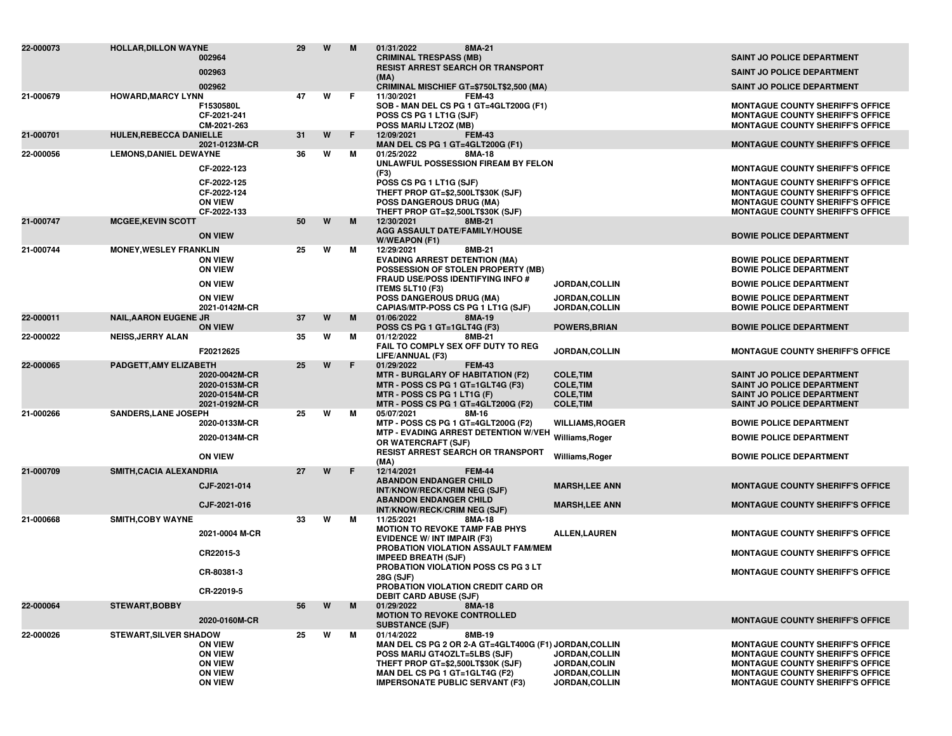| 22-000073 | <b>HOLLAR, DILLON WAYNE</b>    | 002964<br>002963                                                                       | 29 | W | M  | 8MA-21<br>01/31/2022<br><b>CRIMINAL TRESPASS (MB)</b><br><b>RESIST ARREST SEARCH OR TRANSPORT</b><br>(MA)                                                                                                                         |                                                                              | <b>SAINT JO POLICE DEPARTMENT</b><br><b>SAINT JO POLICE DEPARTMENT</b>                                                                                                                                              |
|-----------|--------------------------------|----------------------------------------------------------------------------------------|----|---|----|-----------------------------------------------------------------------------------------------------------------------------------------------------------------------------------------------------------------------------------|------------------------------------------------------------------------------|---------------------------------------------------------------------------------------------------------------------------------------------------------------------------------------------------------------------|
|           |                                | 002962                                                                                 |    |   |    | CRIMINAL MISCHIEF GT=\$750LT\$2,500 (MA)                                                                                                                                                                                          |                                                                              | <b>SAINT JO POLICE DEPARTMENT</b>                                                                                                                                                                                   |
| 21-000679 | <b>HOWARD, MARCY LYNN</b>      | F1530580L<br>CF-2021-241<br>CM-2021-263                                                | 47 | W | F. | 11/30/2021<br><b>FEM-43</b><br>SOB - MAN DEL CS PG 1 GT=4GLT200G (F1)<br>POSS CS PG 1 LT1G (SJF)<br>POSS MARIJ LT2OZ (MB)                                                                                                         |                                                                              | <b>MONTAGUE COUNTY SHERIFF'S OFFICE</b><br><b>MONTAGUE COUNTY SHERIFF'S OFFICE</b><br><b>MONTAGUE COUNTY SHERIFF'S OFFICE</b>                                                                                       |
| 21-000701 | <b>HULEN, REBECCA DANIELLE</b> | 2021-0123M-CR                                                                          | 31 | W | F  | 12/09/2021<br><b>FEM-43</b><br>MAN DEL CS PG 1 GT=4GLT200G (F1)                                                                                                                                                                   |                                                                              | <b>MONTAGUE COUNTY SHERIFF'S OFFICE</b>                                                                                                                                                                             |
| 22-000056 | <b>LEMONS, DANIEL DEWAYNE</b>  | CF-2022-123<br>CF-2022-125<br>CF-2022-124<br><b>ON VIEW</b>                            | 36 | w | м  | 01/25/2022<br>8MA-18<br>UNLAWFUL POSSESSION FIREAM BY FELON<br>(F3)<br>POSS CS PG 1 LT1G (SJF)<br>THEFT PROP GT=\$2,500LT\$30K (SJF)                                                                                              |                                                                              | <b>MONTAGUE COUNTY SHERIFF'S OFFICE</b><br><b>MONTAGUE COUNTY SHERIFF'S OFFICE</b><br><b>MONTAGUE COUNTY SHERIFF'S OFFICE</b>                                                                                       |
|           |                                | CF-2022-133                                                                            |    |   |    | <b>POSS DANGEROUS DRUG (MA)</b><br>THEFT PROP GT=\$2,500LT\$30K (SJF)                                                                                                                                                             |                                                                              | <b>MONTAGUE COUNTY SHERIFF'S OFFICE</b><br><b>MONTAGUE COUNTY SHERIFF'S OFFICE</b>                                                                                                                                  |
| 21-000747 | <b>MCGEE, KEVIN SCOTT</b>      | <b>ON VIEW</b>                                                                         | 50 | W | M  | 12/30/2021<br>8MB-21<br>AGG ASSAULT DATE/FAMILY/HOUSE<br>W/WEAPON (F1)                                                                                                                                                            |                                                                              | <b>BOWIE POLICE DEPARTMENT</b>                                                                                                                                                                                      |
| 21-000744 | <b>MONEY, WESLEY FRANKLIN</b>  | <b>ON VIEW</b><br><b>ON VIEW</b>                                                       | 25 | W | М  | 12/29/2021<br>8MB-21<br><b>EVADING ARREST DETENTION (MA)</b><br>POSSESSION OF STOLEN PROPERTY (MB)<br><b>FRAUD USE/POSS IDENTIFYING INFO #</b>                                                                                    |                                                                              | <b>BOWIE POLICE DEPARTMENT</b><br><b>BOWIE POLICE DEPARTMENT</b>                                                                                                                                                    |
|           |                                | <b>ON VIEW</b>                                                                         |    |   |    | <b>ITEMS 5LT10 (F3)</b>                                                                                                                                                                                                           | JORDAN, COLLIN                                                               | <b>BOWIE POLICE DEPARTMENT</b>                                                                                                                                                                                      |
|           |                                | <b>ON VIEW</b><br>2021-0142M-CR                                                        |    |   |    | POSS DANGEROUS DRUG (MA)<br>CAPIAS/MTP-POSS CS PG 1 LT1G (SJF)                                                                                                                                                                    | JORDAN, COLLIN<br>JORDAN, COLLIN                                             | <b>BOWIE POLICE DEPARTMENT</b><br><b>BOWIE POLICE DEPARTMENT</b>                                                                                                                                                    |
| 22-000011 | <b>NAIL, AARON EUGENE JR</b>   | <b>ON VIEW</b>                                                                         | 37 | W | M  | 01/06/2022<br>8MA-19<br>POSS CS PG 1 GT=1GLT4G (F3)                                                                                                                                                                               | <b>POWERS, BRIAN</b>                                                         | <b>BOWIE POLICE DEPARTMENT</b>                                                                                                                                                                                      |
| 22-000022 | <b>NEISS, JERRY ALAN</b>       | F20212625                                                                              | 35 | W | М  | 01/12/2022<br>8MB-21<br>FAIL TO COMPLY SEX OFF DUTY TO REG<br>LIFE/ANNUAL (F3)                                                                                                                                                    | JORDAN, COLLIN                                                               | <b>MONTAGUE COUNTY SHERIFF'S OFFICE</b>                                                                                                                                                                             |
| 22-000065 | PADGETT, AMY ELIZABETH         | 2020-0042M-CR<br>2020-0153M-CR<br>2020-0154M-CR<br>2021-0192M-CR                       | 25 | W | F  | 01/29/2022<br><b>FEM-43</b><br><b>MTR - BURGLARY OF HABITATION (F2)</b><br>MTR - POSS CS PG 1 GT=1GLT4G (F3)<br>MTR - POSS CS PG 1 LT1G (F)<br>MTR - POSS CS PG 1 GT=4GLT200G (F2)                                                | <b>COLE, TIM</b><br><b>COLE, TIM</b><br><b>COLE, TIM</b><br><b>COLE, TIM</b> | <b>SAINT JO POLICE DEPARTMENT</b><br><b>SAINT JO POLICE DEPARTMENT</b><br><b>SAINT JO POLICE DEPARTMENT</b><br>SAINT JO POLICE DEPARTMENT                                                                           |
| 21-000266 | <b>SANDERS, LANE JOSEPH</b>    |                                                                                        | 25 | W | М  | 05/07/2021<br>8M-16                                                                                                                                                                                                               |                                                                              |                                                                                                                                                                                                                     |
|           |                                | 2020-0133M-CR<br>2020-0134M-CR                                                         |    |   |    | MTP - POSS CS PG 1 GT=4GLT200G (F2)<br>MTP - EVADING ARREST DETENTION W/VEH                                                                                                                                                       | <b>WILLIAMS, ROGER</b><br>Williams, Roger                                    | <b>BOWIE POLICE DEPARTMENT</b><br><b>BOWIE POLICE DEPARTMENT</b>                                                                                                                                                    |
|           |                                | <b>ON VIEW</b>                                                                         |    |   |    | OR WATERCRAFT (SJF)<br><b>RESIST ARREST SEARCH OR TRANSPORT</b>                                                                                                                                                                   | Williams, Roger                                                              | <b>BOWIE POLICE DEPARTMENT</b>                                                                                                                                                                                      |
| 21-000709 | SMITH, CACIA ALEXANDRIA        |                                                                                        | 27 | W | F  | (MA)<br>12/14/2021<br><b>FEM-44</b>                                                                                                                                                                                               |                                                                              |                                                                                                                                                                                                                     |
|           |                                | CJF-2021-014                                                                           |    |   |    | <b>ABANDON ENDANGER CHILD</b><br>INT/KNOW/RECK/CRIM NEG (SJF)                                                                                                                                                                     | <b>MARSH,LEE ANN</b>                                                         | <b>MONTAGUE COUNTY SHERIFF'S OFFICE</b>                                                                                                                                                                             |
|           |                                | CJF-2021-016                                                                           |    |   |    | <b>ABANDON ENDANGER CHILD</b><br>INT/KNOW/RECK/CRIM NEG (SJF)                                                                                                                                                                     | <b>MARSH,LEE ANN</b>                                                         | <b>MONTAGUE COUNTY SHERIFF'S OFFICE</b>                                                                                                                                                                             |
| 21-000668 | <b>SMITH, COBY WAYNE</b>       | 2021-0004 M-CR                                                                         | 33 | W | м  | 11/25/2021<br>8MA-18<br><b>MOTION TO REVOKE TAMP FAB PHYS</b><br><b>EVIDENCE W/ INT IMPAIR (F3)</b>                                                                                                                               | <b>ALLEN, LAUREN</b>                                                         | <b>MONTAGUE COUNTY SHERIFF'S OFFICE</b>                                                                                                                                                                             |
|           |                                | CR22015-3                                                                              |    |   |    | PROBATION VIOLATION ASSAULT FAM/MEM<br><b>IMPEED BREATH (SJF)</b>                                                                                                                                                                 |                                                                              | <b>MONTAGUE COUNTY SHERIFF'S OFFICE</b>                                                                                                                                                                             |
|           |                                | CR-80381-3                                                                             |    |   |    | PROBATION VIOLATION POSS CS PG 3 LT<br>28G (SJF)                                                                                                                                                                                  |                                                                              | <b>MONTAGUE COUNTY SHERIFF'S OFFICE</b>                                                                                                                                                                             |
|           |                                | CR-22019-5                                                                             |    |   |    | PROBATION VIOLATION CREDIT CARD OR<br><b>DEBIT CARD ABUSE (SJF)</b>                                                                                                                                                               |                                                                              |                                                                                                                                                                                                                     |
| 22-000064 | <b>STEWART, BOBBY</b>          | 2020-0160M-CR                                                                          | 56 | W | M  | 01/29/2022<br>8MA-18<br><b>MOTION TO REVOKE CONTROLLED</b><br><b>SUBSTANCE (SJF)</b>                                                                                                                                              |                                                                              | <b>MONTAGUE COUNTY SHERIFF'S OFFICE</b>                                                                                                                                                                             |
| 22-000026 | <b>STEWART, SILVER SHADOW</b>  | <b>ON VIEW</b><br><b>ON VIEW</b><br><b>ON VIEW</b><br><b>ON VIEW</b><br><b>ON VIEW</b> | 25 | W | м  | 01/14/2022<br>8MB-19<br>MAN DEL CS PG 2 OR 2-A GT=4GLT400G (F1) JORDAN, COLLIN<br>POSS MARIJ GT4OZLT=5LBS (SJF)<br>THEFT PROP GT=\$2,500LT\$30K (SJF)<br>MAN DEL CS PG 1 GT=1GLT4G (F2)<br><b>IMPERSONATE PUBLIC SERVANT (F3)</b> | JORDAN, COLLIN<br><b>JORDAN.COLIN</b><br>JORDAN, COLLIN<br>JORDAN, COLLIN    | <b>MONTAGUE COUNTY SHERIFF'S OFFICE</b><br><b>MONTAGUE COUNTY SHERIFF'S OFFICE</b><br><b>MONTAGUE COUNTY SHERIFF'S OFFICE</b><br><b>MONTAGUE COUNTY SHERIFF'S OFFICE</b><br><b>MONTAGUE COUNTY SHERIFF'S OFFICE</b> |